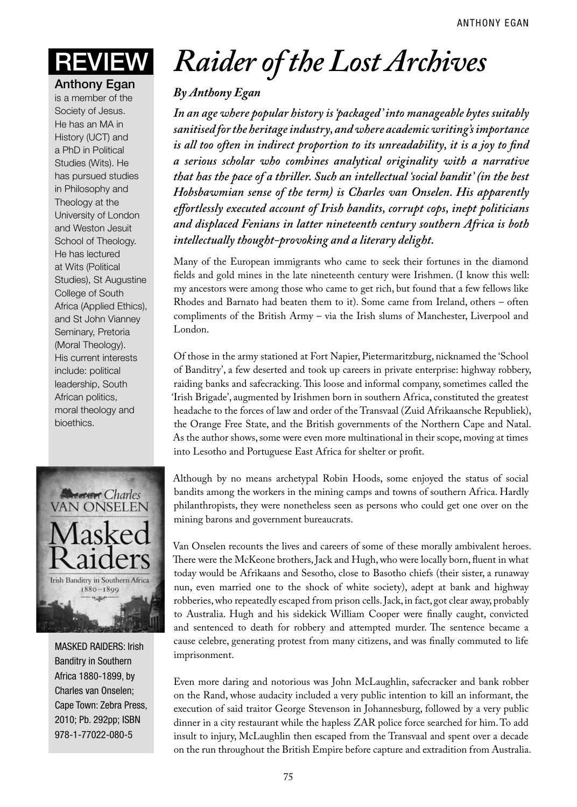Anthony Egan

is a member of the Society of Jesus. He has an MA in History (UCT) and a PhD in Political Studies (Wits). He has pursued studies in Philosophy and Theology at the University of London and Weston Jesuit School of Theology. He has lectured at Wits (Political Studies), St Augustine College of South Africa (Applied Ethics), and St John Vianney Seminary, Pretoria (Moral Theology). His current interests include: political leadership, South African politics, moral theology and bioethics.



MASKED RAIDERS: Irish Banditry in Southern Africa 1880-1899, by Charles van Onselen; Cape Town: Zebra Press, 2010; Pb. 292pp; ISBN 978-1-77022-080-5

## Review *Raider of the Lost Archives*

## *By Anthony Egan*

*In an age where popular history is 'packaged' into manageable bytes suitably sanitised for the heritage industry, and where academic writing's importance is all too often in indirect proportion to its unreadability, it is a joy to find a serious scholar who combines analytical originality with a narrative that has the pace of a thriller. Such an intellectual 'social bandit' (in the best Hobsbawmian sense of the term) is Charles van Onselen. His apparently effortlessly executed account of Irish bandits, corrupt cops, inept politicians and displaced Fenians in latter nineteenth century southern Africa is both intellectually thought-provoking and a literary delight.*

Many of the European immigrants who came to seek their fortunes in the diamond fields and gold mines in the late nineteenth century were Irishmen. (I know this well: my ancestors were among those who came to get rich, but found that a few fellows like Rhodes and Barnato had beaten them to it). Some came from Ireland, others – often compliments of the British Army – via the Irish slums of Manchester, Liverpool and London.

Of those in the army stationed at Fort Napier, Pietermaritzburg, nicknamed the 'School of Banditry', a few deserted and took up careers in private enterprise: highway robbery, raiding banks and safecracking. This loose and informal company, sometimes called the 'Irish Brigade', augmented by Irishmen born in southern Africa, constituted the greatest headache to the forces of law and order of the Transvaal (Zuid Afrikaansche Republiek), the Orange Free State, and the British governments of the Northern Cape and Natal. As the author shows, some were even more multinational in their scope, moving at times into Lesotho and Portuguese East Africa for shelter or profit.

Although by no means archetypal Robin Hoods, some enjoyed the status of social bandits among the workers in the mining camps and towns of southern Africa. Hardly philanthropists, they were nonetheless seen as persons who could get one over on the mining barons and government bureaucrats.

Van Onselen recounts the lives and careers of some of these morally ambivalent heroes. There were the McKeone brothers, Jack and Hugh, who were locally born, fluent in what today would be Afrikaans and Sesotho, close to Basotho chiefs (their sister, a runaway nun, even married one to the shock of white society), adept at bank and highway robberies, who repeatedly escaped from prison cells. Jack, in fact, got clear away, probably to Australia. Hugh and his sidekick William Cooper were finally caught, convicted and sentenced to death for robbery and attempted murder. The sentence became a cause celebre, generating protest from many citizens, and was finally commuted to life imprisonment.

Even more daring and notorious was John McLaughlin, safecracker and bank robber on the Rand, whose audacity included a very public intention to kill an informant, the execution of said traitor George Stevenson in Johannesburg, followed by a very public dinner in a city restaurant while the hapless ZAR police force searched for him. To add insult to injury, McLaughlin then escaped from the Transvaal and spent over a decade on the run throughout the British Empire before capture and extradition from Australia.